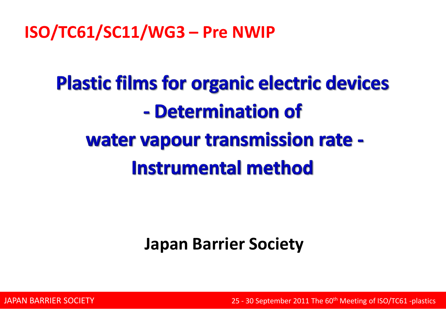**ISO/TC61/SC11/WG3 – Pre NWIP**

# **Plastic films for organic electric devices** - Determination of water vapour transmission rate -**Instrumental method**

# **Japan Barrier Society**

**25 - 30 September 2011 The 60<sup>th</sup> Meeting of ISO/TC61 -plastics** 25 - 30 September 2011 The 60<sup>th</sup> Meeting of ISO/TC61 -plastics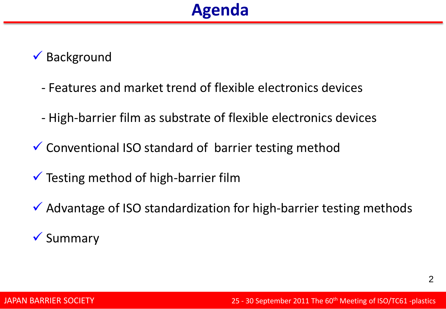#### $\checkmark$  Background

- Features and market trend of flexible electronics devices
- High-barrier film as substrate of flexible electronics devices
- $\checkmark$  Conventional ISO standard of barrier testing method
- $\checkmark$  Testing method of high-barrier film
- $\checkmark$  Advantage of ISO standardization for high-barrier testing methods

#### $\checkmark$  Summary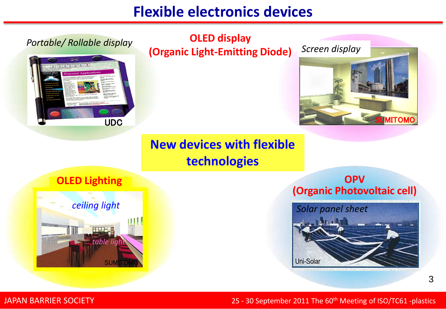# **Flexible electronics devices**



#### JAPAN BARRIER SOCIETY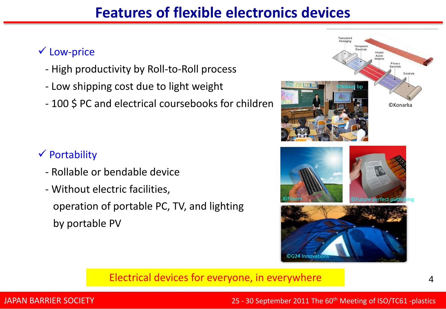### **Features of flexible electronics devices**

#### Low-price

- High productivity by Roll-to-Roll process
- Low shipping cost due to light weight
- 100 \$ PC and electrical coursebooks for children

#### $\checkmark$  Portability

- Rollable or bendable device
- Without electric facilities, operation of portable PC, TV, and lighting by portable PV



#### Electrical devices for everyone, in everywhere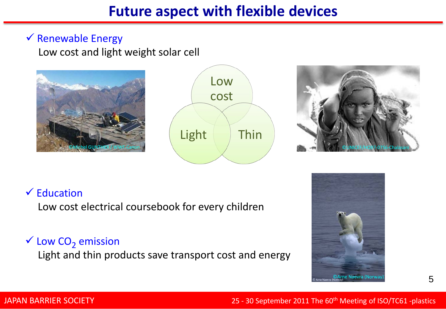#### $\checkmark$  Renewable Energy

Low cost and light weight solar cell







#### $\checkmark$  Education

Low cost electrical coursebook for every children

#### $\checkmark$  Low CO<sub>2</sub> emission

Light and thin products save transport cost and energy



#### JAPAN BARRIER SOCIETY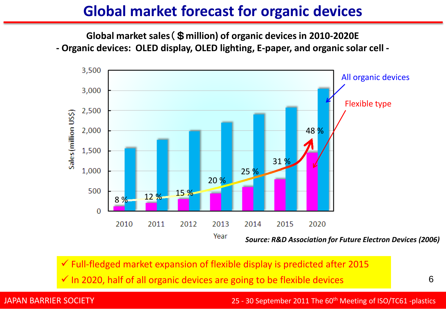#### **Global market forecast for organic devices**

**Global market sales**(\$**million) of organic devices in 2010-2020E - Organic devices: OLED display, OLED lighting, E-paper, and organic solar cell -**



 $\checkmark$  Full-fledged market expansion of flexible display is predicted after 2015  $\checkmark$  In 2020, half of all organic devices are going to be flexible devices

6

#### JAPAN BARRIER SOCIETY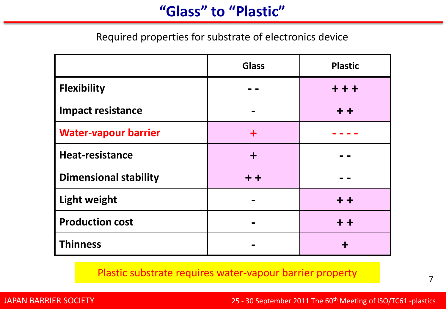#### **"Glass" to "Plastic"**

Required properties for substrate of electronics device

|                              | <b>Glass</b> | <b>Plastic</b> |
|------------------------------|--------------|----------------|
| <b>Flexibility</b>           |              | $+ + +$        |
| <b>Impact resistance</b>     |              | $+ +$          |
| <b>Water-vapour barrier</b>  |              |                |
| <b>Heat-resistance</b>       | ┿            |                |
| <b>Dimensional stability</b> | $+ +$        |                |
| <b>Light weight</b>          |              | $+ +$          |
| <b>Production cost</b>       |              | $+ +$          |
| <b>Thinness</b>              |              | ╈              |

Plastic substrate requires water-vapour barrier property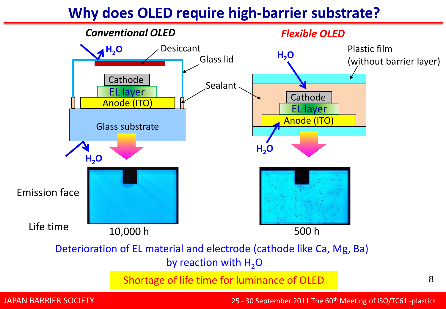#### **Why does OLED require high-barrier substrate?**



JAPAN BARRIER SOCIETY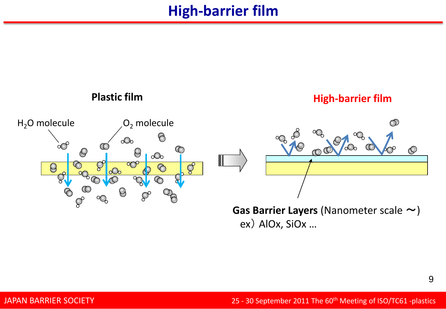#### **High-barrier film**



ex) AlOx, SiOx …

9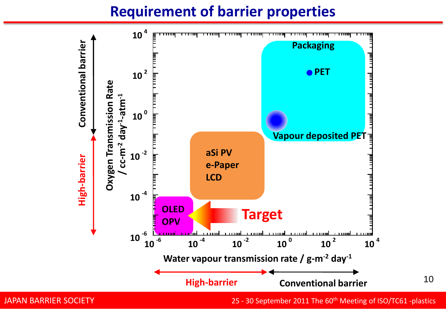#### **Requirement of barrier properties**



25 - 30 September 2011 The 60<sup>th</sup> Meeting of ISO/TC61 -plastics

10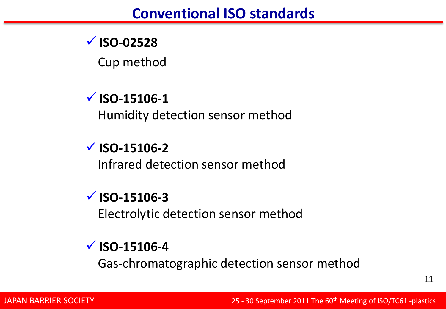# **ISO-02528**

Cup method

# **ISO-15106-1**

Humidity detection sensor method

# **ISO-15106-2**

Infrared detection sensor method

### **ISO-15106-3**

Electrolytic detection sensor method

### **ISO-15106-4**

Gas-chromatographic detection sensor method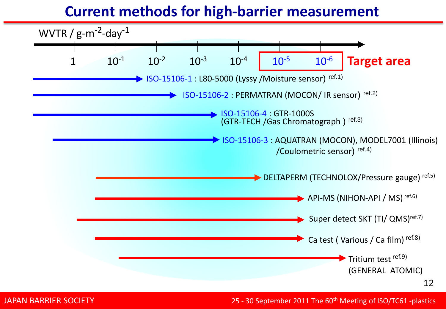#### **Current methods for high-barrier measurement**

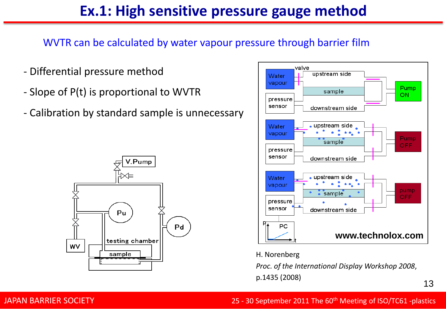### **Ex.1: High sensitive pressure gauge method**

WVTR can be calculated by water vapour pressure through barrier film

- Differential pressure method
- Slope of P(t) is proportional to WVTR
- Calibration by standard sample is unnecessary





#### H. Norenberg

*Proc. of the International Display Workshop 2008*, p.1435 (2008)

13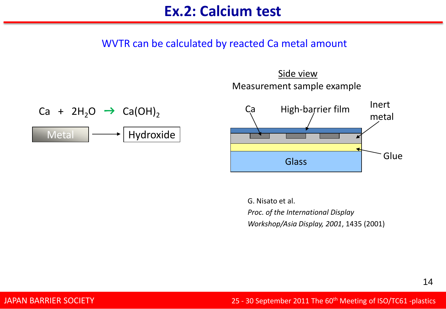#### WVTR can be calculated by reacted Ca metal amount







G. Nisato et al. *Proc. of the International Display Workshop/Asia Display, 2001*, 1435 (2001)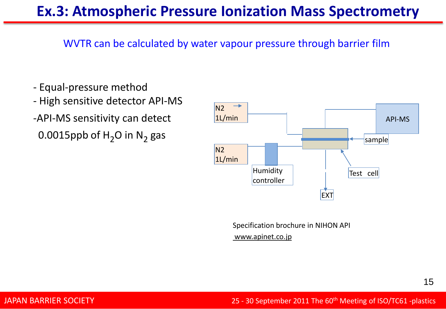### **Ex.3: Atmospheric Pressure Ionization Mass Spectrometry**

WVTR can be calculated by water vapour pressure through barrier film

- Equal-pressure method
- High sensitive detector API-MS -API-MS sensitivity can detect 0.0015ppb of  $H_2O$  in N<sub>2</sub> gas



Specification brochure in NIHON API

#### www.apinet.co.jp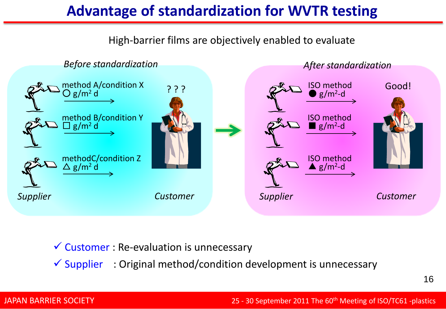## **Advantage of standardization for WVTR testing**



#### $\checkmark$  Customer : Re-evaluation is unnecessary

 $\checkmark$  Supplier : Original method/condition development is unnecessary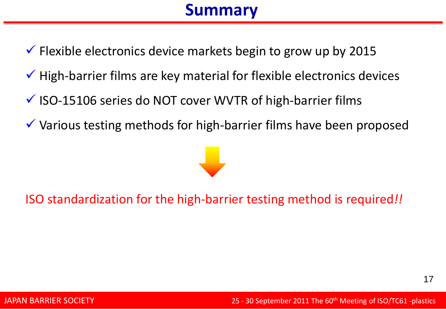# **Summary**

- $\checkmark$  Flexible electronics device markets begin to grow up by 2015
- $\checkmark$  High-barrier films are key material for flexible electronics devices
- $\checkmark$  ISO-15106 series do NOT cover WVTR of high-barrier films
- Various testing methods for high-barrier films have been proposed



ISO standardization for the high-barrier testing method is required*!!*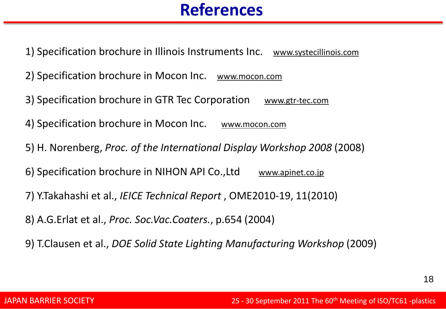# **References**

1) Specification brochure in Illinois Instruments Inc. www.systecillinois.com

2) Specification brochure in Mocon Inc. www.mocon.com

3) Specification brochure in GTR Tec Corporation www.gtr-tec.com

4) Specification brochure in Mocon Inc. www.mocon.com

5) H. Norenberg, *Proc. of the International Display Workshop 2008* (2008)

6) Specification brochure in NIHON API Co., Ltd www.apinet.co.jp

7) Y.Takahashi et al., *IEICE Technical Report* , OME2010-19, 11(2010)

8) A.G.Erlat et al., *Proc. Soc.Vac.Coaters.*, p.654 (2004)

9) T.Clausen et al., *DOE Solid State Lighting Manufacturing Workshop* (2009)